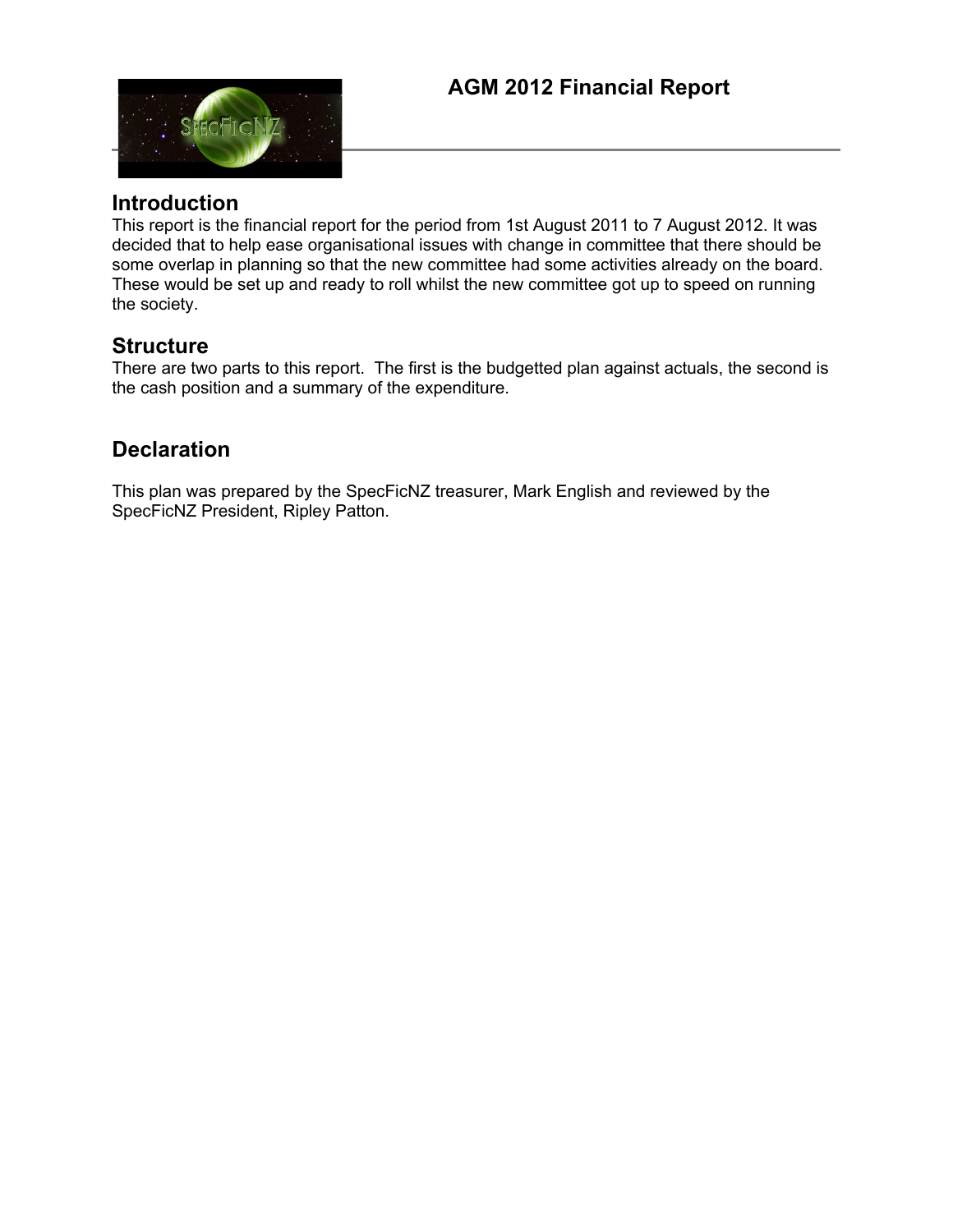

### **Introduction**

This report is the financial report for the period from 1st August 2011 to 7 August 2012. It was decided that to help ease organisational issues with change in committee that there should be some overlap in planning so that the new committee had some activities already on the board. These would be set up and ready to roll whilst the new committee got up to speed on running the society.

### **Structure**

There are two parts to this report. The first is the budgetted plan against actuals, the second is the cash position and a summary of the expenditure.

## **Declaration**

This plan was prepared by the SpecFicNZ treasurer, Mark English and reviewed by the SpecFicNZ President, Ripley Patton.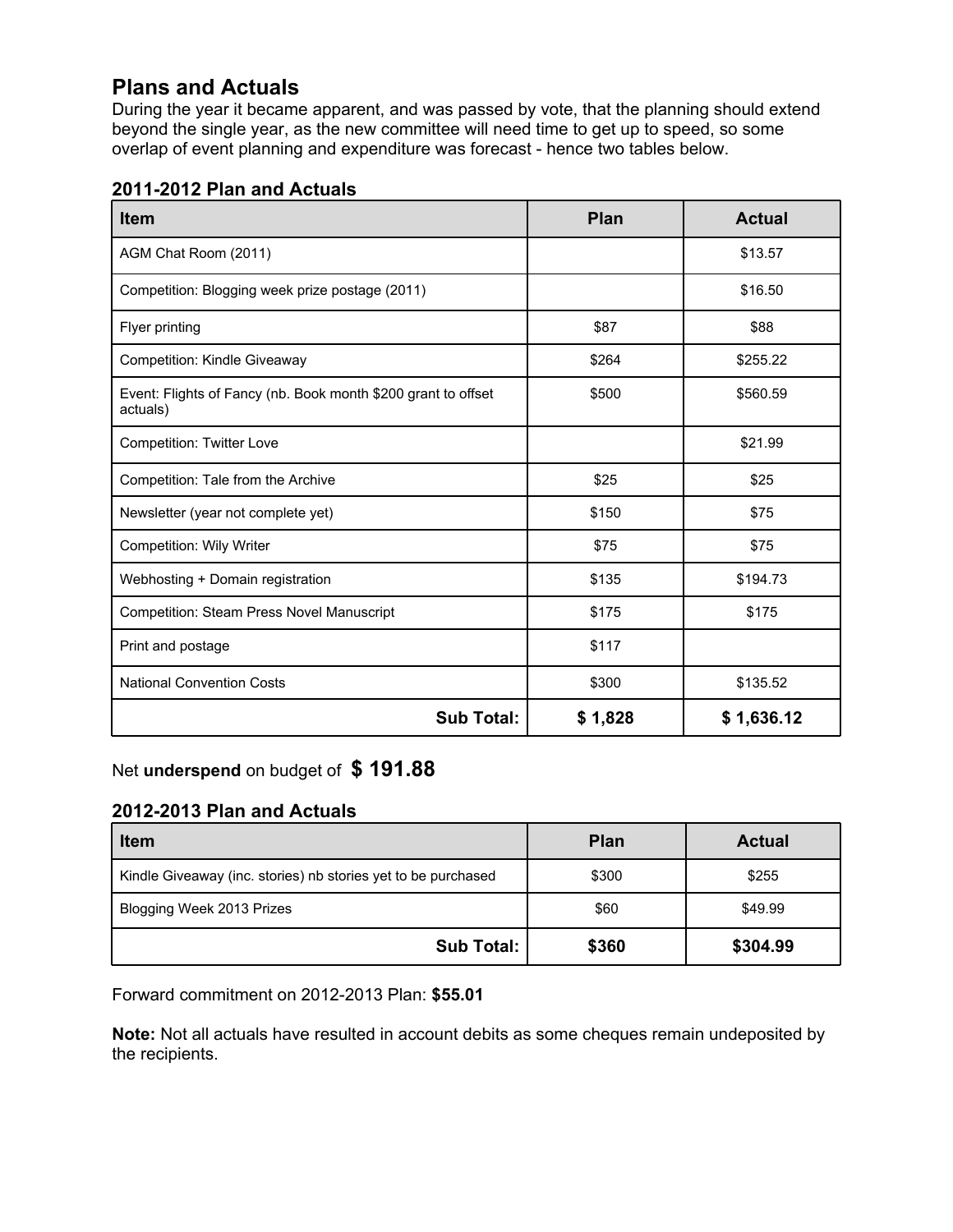# **Plans and Actuals**

During the year it became apparent, and was passed by vote, that the planning should extend beyond the single year, as the new committee will need time to get up to speed, so some overlap of event planning and expenditure was forecast - hence two tables below.

|  |  | 2011-2012 Plan and Actuals |
|--|--|----------------------------|
|--|--|----------------------------|

| <b>Item</b>                                                               | <b>Plan</b> | <b>Actual</b> |
|---------------------------------------------------------------------------|-------------|---------------|
| AGM Chat Room (2011)                                                      |             | \$13.57       |
| Competition: Blogging week prize postage (2011)                           |             | \$16.50       |
| Flyer printing                                                            | \$87        | \$88          |
| Competition: Kindle Giveaway                                              | \$264       | \$255.22      |
| Event: Flights of Fancy (nb. Book month \$200 grant to offset<br>actuals) | \$500       | \$560.59      |
| <b>Competition: Twitter Love</b>                                          |             | \$21.99       |
| Competition: Tale from the Archive                                        | \$25        | \$25          |
| Newsletter (year not complete yet)                                        | \$150       | \$75          |
| Competition: Wily Writer                                                  | \$75        | \$75          |
| Webhosting + Domain registration                                          | \$135       | \$194.73      |
| <b>Competition: Steam Press Novel Manuscript</b>                          | \$175       | \$175         |
| Print and postage                                                         | \$117       |               |
| <b>National Convention Costs</b>                                          | \$300       | \$135.52      |
| <b>Sub Total:</b>                                                         | \$1,828     | \$1,636.12    |

Net **underspend** on budget of **\$ 191.88**

### **2012-2013 Plan and Actuals**

| <b>Item</b>                                                   | <b>Plan</b> | <b>Actual</b> |
|---------------------------------------------------------------|-------------|---------------|
| Kindle Giveaway (inc. stories) nb stories yet to be purchased | \$300       | \$255         |
| Blogging Week 2013 Prizes                                     | \$60        | \$49.99       |
| <b>Sub Total:</b>                                             | \$360       | \$304.99      |

Forward commitment on 2012-2013 Plan: **\$55.01**

Note: Not all actuals have resulted in account debits as some cheques remain undeposited by the recipients.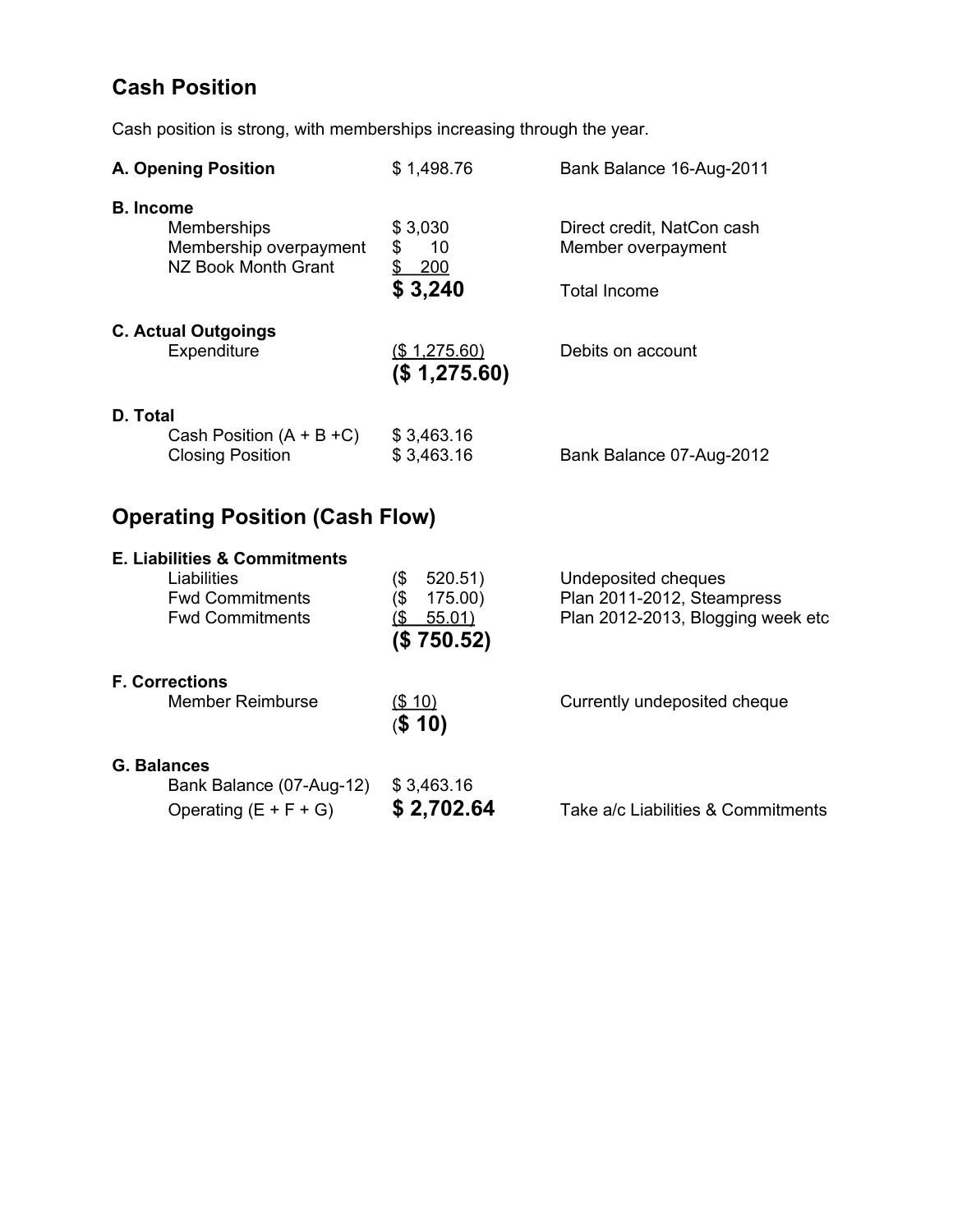# **Cash Position**

Cash position is strong, with memberships increasing through the year.

| <b>A. Opening Position</b>                                                                                 | \$1,498.76                                                            | Bank Balance 16-Aug-2011                                                               |
|------------------------------------------------------------------------------------------------------------|-----------------------------------------------------------------------|----------------------------------------------------------------------------------------|
| <b>B.</b> Income<br>Memberships<br>Membership overpayment<br>NZ Book Month Grant                           | \$3,030<br>\$<br>10<br>$\frac{1}{2}$<br>200<br>\$3,240                | Direct credit, NatCon cash<br>Member overpayment<br><b>Total Income</b>                |
| <b>C. Actual Outgoings</b><br>Expenditure                                                                  | (\$1,275.60)<br>(\$1,275.60)                                          | Debits on account                                                                      |
| D. Total<br>Cash Position $(A + B + C)$<br><b>Closing Position</b>                                         | \$3,463.16<br>\$3,463.16                                              | Bank Balance 07-Aug-2012                                                               |
| <b>Operating Position (Cash Flow)</b>                                                                      |                                                                       |                                                                                        |
| <b>E. Liabilities &amp; Commitments</b><br>Liabilities<br><b>Fwd Commitments</b><br><b>Fwd Commitments</b> | (\$<br>520.51<br>(\$<br>175.00)<br>$($ \$<br>55.01)<br>(\$<br>750.52) | Undeposited cheques<br>Plan 2011-2012, Steampress<br>Plan 2012-2013, Blogging week etc |

 $\frac{(\$ 10)}{(\$ 10)}$ 

#### **F. Corrections**

Member Reimburse (\$10) Currently undeposited cheque

#### **G. Balances**

Bank Balance (07-Aug-12) \$ 3,463.16 Operating  $(E + F + G)$  **\$ 2,702.64** Take a/c Liabilities & Commitments